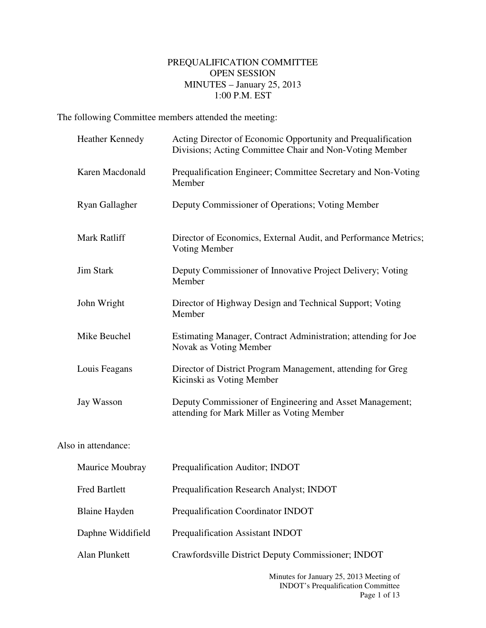## PREQUALIFICATION COMMITTEE OPEN SESSION MINUTES – January 25, 2013 1:00 P.M. EST

The following Committee members attended the meeting:

|                     | Heather Kennedy      | Acting Director of Economic Opportunity and Prequalification<br>Divisions; Acting Committee Chair and Non-Voting Member |
|---------------------|----------------------|-------------------------------------------------------------------------------------------------------------------------|
|                     | Karen Macdonald      | Prequalification Engineer; Committee Secretary and Non-Voting<br>Member                                                 |
|                     | Ryan Gallagher       | Deputy Commissioner of Operations; Voting Member                                                                        |
|                     | Mark Ratliff         | Director of Economics, External Audit, and Performance Metrics;<br>Voting Member                                        |
|                     | <b>Jim Stark</b>     | Deputy Commissioner of Innovative Project Delivery; Voting<br>Member                                                    |
|                     | John Wright          | Director of Highway Design and Technical Support; Voting<br>Member                                                      |
|                     | Mike Beuchel         | Estimating Manager, Contract Administration; attending for Joe<br>Novak as Voting Member                                |
|                     | Louis Feagans        | Director of District Program Management, attending for Greg<br>Kicinski as Voting Member                                |
|                     | Jay Wasson           | Deputy Commissioner of Engineering and Asset Management;<br>attending for Mark Miller as Voting Member                  |
| Also in attendance: |                      |                                                                                                                         |
|                     | Maurice Moubray      | Prequalification Auditor; INDOT                                                                                         |
|                     | Fred Bartlett        | Prequalification Research Analyst; INDOT                                                                                |
|                     | <b>Blaine Hayden</b> | Prequalification Coordinator INDOT                                                                                      |
|                     | Daphne Widdifield    | Prequalification Assistant INDOT                                                                                        |
|                     | Alan Plunkett        | Crawfordsville District Deputy Commissioner; INDOT                                                                      |
|                     |                      |                                                                                                                         |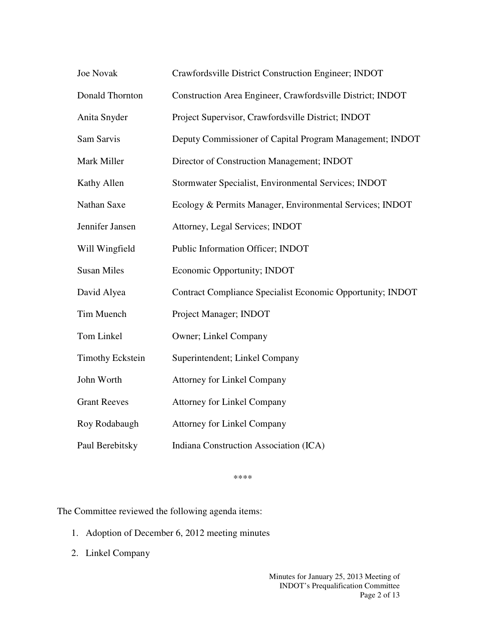| Joe Novak               | Crawfordsville District Construction Engineer; INDOT       |
|-------------------------|------------------------------------------------------------|
| Donald Thornton         | Construction Area Engineer, Crawfordsville District; INDOT |
| Anita Snyder            | Project Supervisor, Crawfordsville District; INDOT         |
| Sam Sarvis              | Deputy Commissioner of Capital Program Management; INDOT   |
| Mark Miller             | Director of Construction Management; INDOT                 |
| Kathy Allen             | Stormwater Specialist, Environmental Services; INDOT       |
| Nathan Saxe             | Ecology & Permits Manager, Environmental Services; INDOT   |
| Jennifer Jansen         | Attorney, Legal Services; INDOT                            |
| Will Wingfield          | Public Information Officer; INDOT                          |
| <b>Susan Miles</b>      | Economic Opportunity; INDOT                                |
| David Alyea             | Contract Compliance Specialist Economic Opportunity; INDOT |
| Tim Muench              | Project Manager; INDOT                                     |
| Tom Linkel              | Owner; Linkel Company                                      |
| <b>Timothy Eckstein</b> | Superintendent; Linkel Company                             |
| John Worth              | <b>Attorney for Linkel Company</b>                         |
| <b>Grant Reeves</b>     | <b>Attorney for Linkel Company</b>                         |
| Roy Rodabaugh           | <b>Attorney for Linkel Company</b>                         |
| Paul Berebitsky         | Indiana Construction Association (ICA)                     |

\*\*\*\*

The Committee reviewed the following agenda items:

- 1. Adoption of December 6, 2012 meeting minutes
- 2. Linkel Company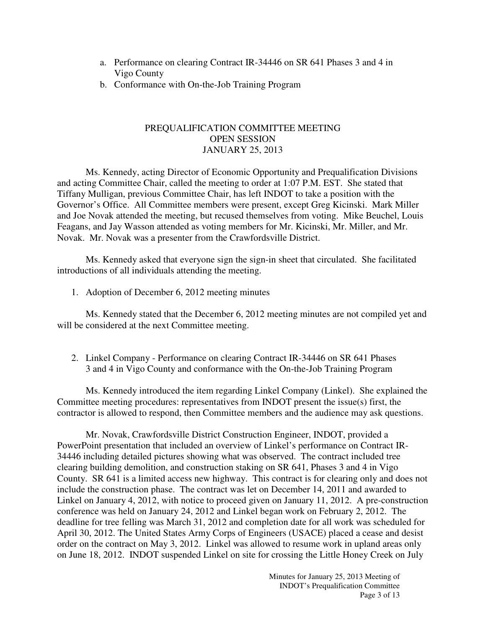- a. Performance on clearing Contract IR-34446 on SR 641 Phases 3 and 4 in Vigo County
- b. Conformance with On-the-Job Training Program

## PREQUALIFICATION COMMITTEE MEETING OPEN SESSION JANUARY 25, 2013

 Ms. Kennedy, acting Director of Economic Opportunity and Prequalification Divisions and acting Committee Chair, called the meeting to order at 1:07 P.M. EST. She stated that Tiffany Mulligan, previous Committee Chair, has left INDOT to take a position with the Governor's Office. All Committee members were present, except Greg Kicinski. Mark Miller and Joe Novak attended the meeting, but recused themselves from voting. Mike Beuchel, Louis Feagans, and Jay Wasson attended as voting members for Mr. Kicinski, Mr. Miller, and Mr. Novak. Mr. Novak was a presenter from the Crawfordsville District.

Ms. Kennedy asked that everyone sign the sign-in sheet that circulated. She facilitated introductions of all individuals attending the meeting.

1. Adoption of December 6, 2012 meeting minutes

Ms. Kennedy stated that the December 6, 2012 meeting minutes are not compiled yet and will be considered at the next Committee meeting.

2. Linkel Company - Performance on clearing Contract IR-34446 on SR 641 Phases 3 and 4 in Vigo County and conformance with the On-the-Job Training Program

Ms. Kennedy introduced the item regarding Linkel Company (Linkel). She explained the Committee meeting procedures: representatives from INDOT present the issue(s) first, the contractor is allowed to respond, then Committee members and the audience may ask questions.

Mr. Novak, Crawfordsville District Construction Engineer, INDOT, provided a PowerPoint presentation that included an overview of Linkel's performance on Contract IR-34446 including detailed pictures showing what was observed. The contract included tree clearing building demolition, and construction staking on SR 641, Phases 3 and 4 in Vigo County. SR 641 is a limited access new highway. This contract is for clearing only and does not include the construction phase. The contract was let on December 14, 2011 and awarded to Linkel on January 4, 2012, with notice to proceed given on January 11, 2012. A pre-construction conference was held on January 24, 2012 and Linkel began work on February 2, 2012. The deadline for tree felling was March 31, 2012 and completion date for all work was scheduled for April 30, 2012. The United States Army Corps of Engineers (USACE) placed a cease and desist order on the contract on May 3, 2012. Linkel was allowed to resume work in upland areas only on June 18, 2012. INDOT suspended Linkel on site for crossing the Little Honey Creek on July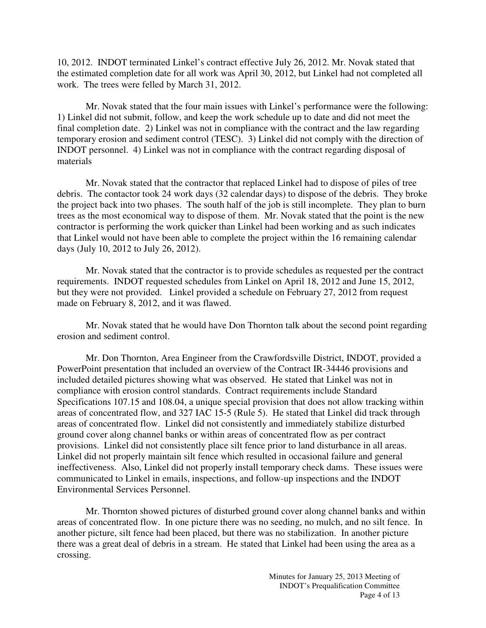10, 2012. INDOT terminated Linkel's contract effective July 26, 2012. Mr. Novak stated that the estimated completion date for all work was April 30, 2012, but Linkel had not completed all work. The trees were felled by March 31, 2012.

Mr. Novak stated that the four main issues with Linkel's performance were the following: 1) Linkel did not submit, follow, and keep the work schedule up to date and did not meet the final completion date. 2) Linkel was not in compliance with the contract and the law regarding temporary erosion and sediment control (TESC). 3) Linkel did not comply with the direction of INDOT personnel. 4) Linkel was not in compliance with the contract regarding disposal of materials

Mr. Novak stated that the contractor that replaced Linkel had to dispose of piles of tree debris. The contactor took 24 work days (32 calendar days) to dispose of the debris. They broke the project back into two phases. The south half of the job is still incomplete. They plan to burn trees as the most economical way to dispose of them. Mr. Novak stated that the point is the new contractor is performing the work quicker than Linkel had been working and as such indicates that Linkel would not have been able to complete the project within the 16 remaining calendar days (July 10, 2012 to July 26, 2012).

Mr. Novak stated that the contractor is to provide schedules as requested per the contract requirements. INDOT requested schedules from Linkel on April 18, 2012 and June 15, 2012, but they were not provided. Linkel provided a schedule on February 27, 2012 from request made on February 8, 2012, and it was flawed.

Mr. Novak stated that he would have Don Thornton talk about the second point regarding erosion and sediment control.

Mr. Don Thornton, Area Engineer from the Crawfordsville District, INDOT, provided a PowerPoint presentation that included an overview of the Contract IR-34446 provisions and included detailed pictures showing what was observed. He stated that Linkel was not in compliance with erosion control standards. Contract requirements include Standard Specifications 107.15 and 108.04, a unique special provision that does not allow tracking within areas of concentrated flow, and 327 IAC 15-5 (Rule 5). He stated that Linkel did track through areas of concentrated flow. Linkel did not consistently and immediately stabilize disturbed ground cover along channel banks or within areas of concentrated flow as per contract provisions. Linkel did not consistently place silt fence prior to land disturbance in all areas. Linkel did not properly maintain silt fence which resulted in occasional failure and general ineffectiveness. Also, Linkel did not properly install temporary check dams. These issues were communicated to Linkel in emails, inspections, and follow-up inspections and the INDOT Environmental Services Personnel.

Mr. Thornton showed pictures of disturbed ground cover along channel banks and within areas of concentrated flow. In one picture there was no seeding, no mulch, and no silt fence. In another picture, silt fence had been placed, but there was no stabilization. In another picture there was a great deal of debris in a stream. He stated that Linkel had been using the area as a crossing.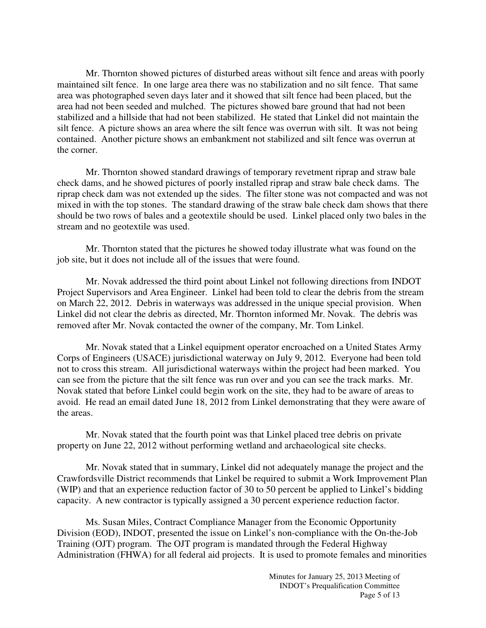Mr. Thornton showed pictures of disturbed areas without silt fence and areas with poorly maintained silt fence. In one large area there was no stabilization and no silt fence. That same area was photographed seven days later and it showed that silt fence had been placed, but the area had not been seeded and mulched. The pictures showed bare ground that had not been stabilized and a hillside that had not been stabilized. He stated that Linkel did not maintain the silt fence. A picture shows an area where the silt fence was overrun with silt. It was not being contained. Another picture shows an embankment not stabilized and silt fence was overrun at the corner.

Mr. Thornton showed standard drawings of temporary revetment riprap and straw bale check dams, and he showed pictures of poorly installed riprap and straw bale check dams. The riprap check dam was not extended up the sides. The filter stone was not compacted and was not mixed in with the top stones. The standard drawing of the straw bale check dam shows that there should be two rows of bales and a geotextile should be used. Linkel placed only two bales in the stream and no geotextile was used.

Mr. Thornton stated that the pictures he showed today illustrate what was found on the job site, but it does not include all of the issues that were found.

Mr. Novak addressed the third point about Linkel not following directions from INDOT Project Supervisors and Area Engineer. Linkel had been told to clear the debris from the stream on March 22, 2012. Debris in waterways was addressed in the unique special provision. When Linkel did not clear the debris as directed, Mr. Thornton informed Mr. Novak. The debris was removed after Mr. Novak contacted the owner of the company, Mr. Tom Linkel.

Mr. Novak stated that a Linkel equipment operator encroached on a United States Army Corps of Engineers (USACE) jurisdictional waterway on July 9, 2012. Everyone had been told not to cross this stream. All jurisdictional waterways within the project had been marked. You can see from the picture that the silt fence was run over and you can see the track marks. Mr. Novak stated that before Linkel could begin work on the site, they had to be aware of areas to avoid. He read an email dated June 18, 2012 from Linkel demonstrating that they were aware of the areas.

Mr. Novak stated that the fourth point was that Linkel placed tree debris on private property on June 22, 2012 without performing wetland and archaeological site checks.

Mr. Novak stated that in summary, Linkel did not adequately manage the project and the Crawfordsville District recommends that Linkel be required to submit a Work Improvement Plan (WIP) and that an experience reduction factor of 30 to 50 percent be applied to Linkel's bidding capacity. A new contractor is typically assigned a 30 percent experience reduction factor.

Ms. Susan Miles, Contract Compliance Manager from the Economic Opportunity Division (EOD), INDOT, presented the issue on Linkel's non-compliance with the On-the-Job Training (OJT) program. The OJT program is mandated through the Federal Highway Administration (FHWA) for all federal aid projects. It is used to promote females and minorities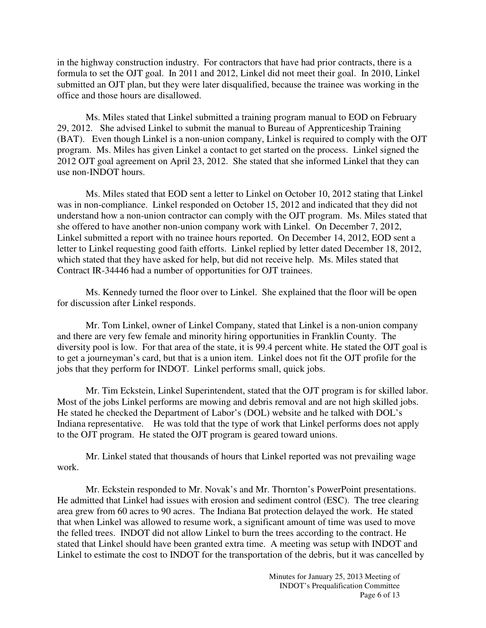in the highway construction industry. For contractors that have had prior contracts, there is a formula to set the OJT goal. In 2011 and 2012, Linkel did not meet their goal. In 2010, Linkel submitted an OJT plan, but they were later disqualified, because the trainee was working in the office and those hours are disallowed.

Ms. Miles stated that Linkel submitted a training program manual to EOD on February 29, 2012. She advised Linkel to submit the manual to Bureau of Apprenticeship Training (BAT). Even though Linkel is a non-union company, Linkel is required to comply with the OJT program. Ms. Miles has given Linkel a contact to get started on the process. Linkel signed the 2012 OJT goal agreement on April 23, 2012. She stated that she informed Linkel that they can use non-INDOT hours.

Ms. Miles stated that EOD sent a letter to Linkel on October 10, 2012 stating that Linkel was in non-compliance. Linkel responded on October 15, 2012 and indicated that they did not understand how a non-union contractor can comply with the OJT program. Ms. Miles stated that she offered to have another non-union company work with Linkel. On December 7, 2012, Linkel submitted a report with no trainee hours reported. On December 14, 2012, EOD sent a letter to Linkel requesting good faith efforts. Linkel replied by letter dated December 18, 2012, which stated that they have asked for help, but did not receive help. Ms. Miles stated that Contract IR-34446 had a number of opportunities for OJT trainees.

Ms. Kennedy turned the floor over to Linkel. She explained that the floor will be open for discussion after Linkel responds.

Mr. Tom Linkel, owner of Linkel Company, stated that Linkel is a non-union company and there are very few female and minority hiring opportunities in Franklin County. The diversity pool is low. For that area of the state, it is 99.4 percent white. He stated the OJT goal is to get a journeyman's card, but that is a union item. Linkel does not fit the OJT profile for the jobs that they perform for INDOT. Linkel performs small, quick jobs.

Mr. Tim Eckstein, Linkel Superintendent, stated that the OJT program is for skilled labor. Most of the jobs Linkel performs are mowing and debris removal and are not high skilled jobs. He stated he checked the Department of Labor's (DOL) website and he talked with DOL's Indiana representative. He was told that the type of work that Linkel performs does not apply to the OJT program. He stated the OJT program is geared toward unions.

Mr. Linkel stated that thousands of hours that Linkel reported was not prevailing wage work.

Mr. Eckstein responded to Mr. Novak's and Mr. Thornton's PowerPoint presentations. He admitted that Linkel had issues with erosion and sediment control (ESC). The tree clearing area grew from 60 acres to 90 acres. The Indiana Bat protection delayed the work. He stated that when Linkel was allowed to resume work, a significant amount of time was used to move the felled trees. INDOT did not allow Linkel to burn the trees according to the contract. He stated that Linkel should have been granted extra time. A meeting was setup with INDOT and Linkel to estimate the cost to INDOT for the transportation of the debris, but it was cancelled by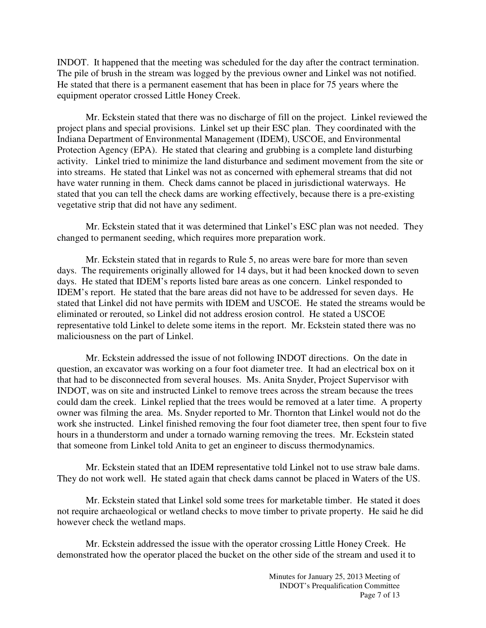INDOT. It happened that the meeting was scheduled for the day after the contract termination. The pile of brush in the stream was logged by the previous owner and Linkel was not notified. He stated that there is a permanent easement that has been in place for 75 years where the equipment operator crossed Little Honey Creek.

Mr. Eckstein stated that there was no discharge of fill on the project. Linkel reviewed the project plans and special provisions. Linkel set up their ESC plan. They coordinated with the Indiana Department of Environmental Management (IDEM), USCOE, and Environmental Protection Agency (EPA). He stated that clearing and grubbing is a complete land disturbing activity. Linkel tried to minimize the land disturbance and sediment movement from the site or into streams. He stated that Linkel was not as concerned with ephemeral streams that did not have water running in them. Check dams cannot be placed in jurisdictional waterways. He stated that you can tell the check dams are working effectively, because there is a pre-existing vegetative strip that did not have any sediment.

Mr. Eckstein stated that it was determined that Linkel's ESC plan was not needed. They changed to permanent seeding, which requires more preparation work.

Mr. Eckstein stated that in regards to Rule 5, no areas were bare for more than seven days. The requirements originally allowed for 14 days, but it had been knocked down to seven days. He stated that IDEM's reports listed bare areas as one concern. Linkel responded to IDEM's report. He stated that the bare areas did not have to be addressed for seven days. He stated that Linkel did not have permits with IDEM and USCOE. He stated the streams would be eliminated or rerouted, so Linkel did not address erosion control. He stated a USCOE representative told Linkel to delete some items in the report. Mr. Eckstein stated there was no maliciousness on the part of Linkel.

Mr. Eckstein addressed the issue of not following INDOT directions. On the date in question, an excavator was working on a four foot diameter tree. It had an electrical box on it that had to be disconnected from several houses. Ms. Anita Snyder, Project Supervisor with INDOT, was on site and instructed Linkel to remove trees across the stream because the trees could dam the creek. Linkel replied that the trees would be removed at a later time. A property owner was filming the area. Ms. Snyder reported to Mr. Thornton that Linkel would not do the work she instructed. Linkel finished removing the four foot diameter tree, then spent four to five hours in a thunderstorm and under a tornado warning removing the trees. Mr. Eckstein stated that someone from Linkel told Anita to get an engineer to discuss thermodynamics.

Mr. Eckstein stated that an IDEM representative told Linkel not to use straw bale dams. They do not work well. He stated again that check dams cannot be placed in Waters of the US.

Mr. Eckstein stated that Linkel sold some trees for marketable timber. He stated it does not require archaeological or wetland checks to move timber to private property. He said he did however check the wetland maps.

Mr. Eckstein addressed the issue with the operator crossing Little Honey Creek. He demonstrated how the operator placed the bucket on the other side of the stream and used it to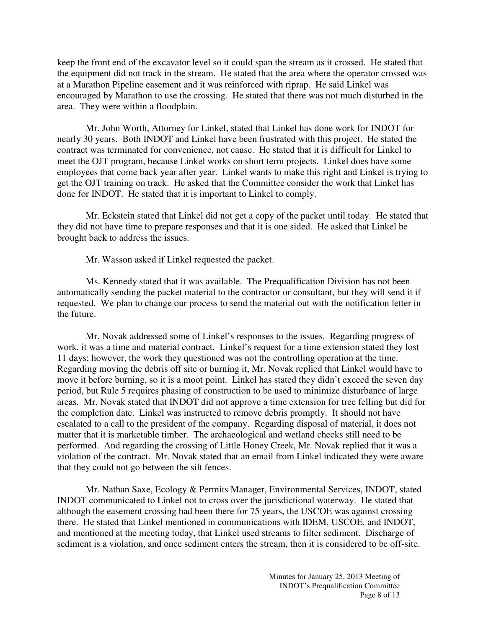keep the front end of the excavator level so it could span the stream as it crossed. He stated that the equipment did not track in the stream. He stated that the area where the operator crossed was at a Marathon Pipeline easement and it was reinforced with riprap. He said Linkel was encouraged by Marathon to use the crossing. He stated that there was not much disturbed in the area. They were within a floodplain.

Mr. John Worth, Attorney for Linkel, stated that Linkel has done work for INDOT for nearly 30 years. Both INDOT and Linkel have been frustrated with this project. He stated the contract was terminated for convenience, not cause. He stated that it is difficult for Linkel to meet the OJT program, because Linkel works on short term projects. Linkel does have some employees that come back year after year. Linkel wants to make this right and Linkel is trying to get the OJT training on track. He asked that the Committee consider the work that Linkel has done for INDOT. He stated that it is important to Linkel to comply.

Mr. Eckstein stated that Linkel did not get a copy of the packet until today. He stated that they did not have time to prepare responses and that it is one sided. He asked that Linkel be brought back to address the issues.

Mr. Wasson asked if Linkel requested the packet.

Ms. Kennedy stated that it was available. The Prequalification Division has not been automatically sending the packet material to the contractor or consultant, but they will send it if requested. We plan to change our process to send the material out with the notification letter in the future.

Mr. Novak addressed some of Linkel's responses to the issues. Regarding progress of work, it was a time and material contract. Linkel's request for a time extension stated they lost 11 days; however, the work they questioned was not the controlling operation at the time. Regarding moving the debris off site or burning it, Mr. Novak replied that Linkel would have to move it before burning, so it is a moot point. Linkel has stated they didn't exceed the seven day period, but Rule 5 requires phasing of construction to be used to minimize disturbance of large areas. Mr. Novak stated that INDOT did not approve a time extension for tree felling but did for the completion date. Linkel was instructed to remove debris promptly. It should not have escalated to a call to the president of the company. Regarding disposal of material, it does not matter that it is marketable timber. The archaeological and wetland checks still need to be performed. And regarding the crossing of Little Honey Creek, Mr. Novak replied that it was a violation of the contract. Mr. Novak stated that an email from Linkel indicated they were aware that they could not go between the silt fences.

Mr. Nathan Saxe, Ecology & Permits Manager, Environmental Services, INDOT, stated INDOT communicated to Linkel not to cross over the jurisdictional waterway. He stated that although the easement crossing had been there for 75 years, the USCOE was against crossing there. He stated that Linkel mentioned in communications with IDEM, USCOE, and INDOT, and mentioned at the meeting today, that Linkel used streams to filter sediment. Discharge of sediment is a violation, and once sediment enters the stream, then it is considered to be off-site.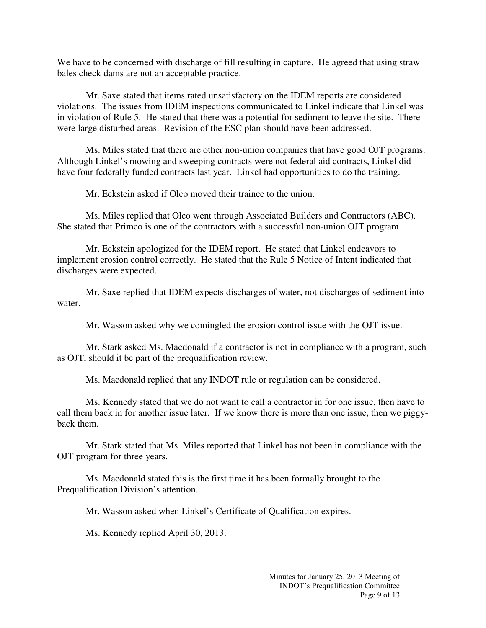We have to be concerned with discharge of fill resulting in capture. He agreed that using straw bales check dams are not an acceptable practice.

Mr. Saxe stated that items rated unsatisfactory on the IDEM reports are considered violations. The issues from IDEM inspections communicated to Linkel indicate that Linkel was in violation of Rule 5. He stated that there was a potential for sediment to leave the site. There were large disturbed areas. Revision of the ESC plan should have been addressed.

Ms. Miles stated that there are other non-union companies that have good OJT programs. Although Linkel's mowing and sweeping contracts were not federal aid contracts, Linkel did have four federally funded contracts last year. Linkel had opportunities to do the training.

Mr. Eckstein asked if Olco moved their trainee to the union.

Ms. Miles replied that Olco went through Associated Builders and Contractors (ABC). She stated that Primco is one of the contractors with a successful non-union OJT program.

Mr. Eckstein apologized for the IDEM report. He stated that Linkel endeavors to implement erosion control correctly. He stated that the Rule 5 Notice of Intent indicated that discharges were expected.

Mr. Saxe replied that IDEM expects discharges of water, not discharges of sediment into water.

Mr. Wasson asked why we comingled the erosion control issue with the OJT issue.

Mr. Stark asked Ms. Macdonald if a contractor is not in compliance with a program, such as OJT, should it be part of the prequalification review.

Ms. Macdonald replied that any INDOT rule or regulation can be considered.

Ms. Kennedy stated that we do not want to call a contractor in for one issue, then have to call them back in for another issue later. If we know there is more than one issue, then we piggyback them.

Mr. Stark stated that Ms. Miles reported that Linkel has not been in compliance with the OJT program for three years.

Ms. Macdonald stated this is the first time it has been formally brought to the Prequalification Division's attention.

Mr. Wasson asked when Linkel's Certificate of Qualification expires.

Ms. Kennedy replied April 30, 2013.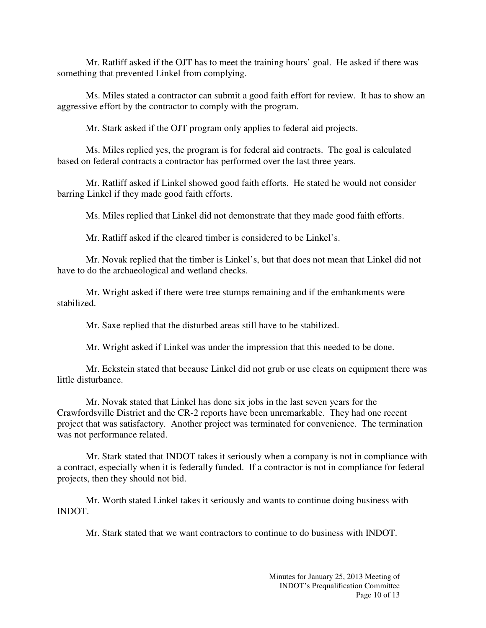Mr. Ratliff asked if the OJT has to meet the training hours' goal. He asked if there was something that prevented Linkel from complying.

Ms. Miles stated a contractor can submit a good faith effort for review. It has to show an aggressive effort by the contractor to comply with the program.

Mr. Stark asked if the OJT program only applies to federal aid projects.

Ms. Miles replied yes, the program is for federal aid contracts. The goal is calculated based on federal contracts a contractor has performed over the last three years.

Mr. Ratliff asked if Linkel showed good faith efforts. He stated he would not consider barring Linkel if they made good faith efforts.

Ms. Miles replied that Linkel did not demonstrate that they made good faith efforts.

Mr. Ratliff asked if the cleared timber is considered to be Linkel's.

Mr. Novak replied that the timber is Linkel's, but that does not mean that Linkel did not have to do the archaeological and wetland checks.

Mr. Wright asked if there were tree stumps remaining and if the embankments were stabilized.

Mr. Saxe replied that the disturbed areas still have to be stabilized.

Mr. Wright asked if Linkel was under the impression that this needed to be done.

Mr. Eckstein stated that because Linkel did not grub or use cleats on equipment there was little disturbance.

Mr. Novak stated that Linkel has done six jobs in the last seven years for the Crawfordsville District and the CR-2 reports have been unremarkable. They had one recent project that was satisfactory. Another project was terminated for convenience. The termination was not performance related.

Mr. Stark stated that INDOT takes it seriously when a company is not in compliance with a contract, especially when it is federally funded. If a contractor is not in compliance for federal projects, then they should not bid.

Mr. Worth stated Linkel takes it seriously and wants to continue doing business with INDOT.

Mr. Stark stated that we want contractors to continue to do business with INDOT.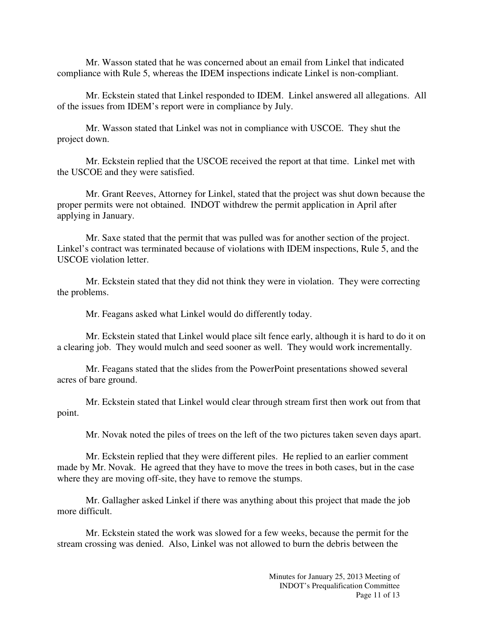Mr. Wasson stated that he was concerned about an email from Linkel that indicated compliance with Rule 5, whereas the IDEM inspections indicate Linkel is non-compliant.

Mr. Eckstein stated that Linkel responded to IDEM. Linkel answered all allegations. All of the issues from IDEM's report were in compliance by July.

Mr. Wasson stated that Linkel was not in compliance with USCOE. They shut the project down.

Mr. Eckstein replied that the USCOE received the report at that time. Linkel met with the USCOE and they were satisfied.

Mr. Grant Reeves, Attorney for Linkel, stated that the project was shut down because the proper permits were not obtained. INDOT withdrew the permit application in April after applying in January.

Mr. Saxe stated that the permit that was pulled was for another section of the project. Linkel's contract was terminated because of violations with IDEM inspections, Rule 5, and the USCOE violation letter.

Mr. Eckstein stated that they did not think they were in violation. They were correcting the problems.

Mr. Feagans asked what Linkel would do differently today.

Mr. Eckstein stated that Linkel would place silt fence early, although it is hard to do it on a clearing job. They would mulch and seed sooner as well. They would work incrementally.

Mr. Feagans stated that the slides from the PowerPoint presentations showed several acres of bare ground.

Mr. Eckstein stated that Linkel would clear through stream first then work out from that point.

Mr. Novak noted the piles of trees on the left of the two pictures taken seven days apart.

Mr. Eckstein replied that they were different piles. He replied to an earlier comment made by Mr. Novak. He agreed that they have to move the trees in both cases, but in the case where they are moving off-site, they have to remove the stumps.

Mr. Gallagher asked Linkel if there was anything about this project that made the job more difficult.

Mr. Eckstein stated the work was slowed for a few weeks, because the permit for the stream crossing was denied. Also, Linkel was not allowed to burn the debris between the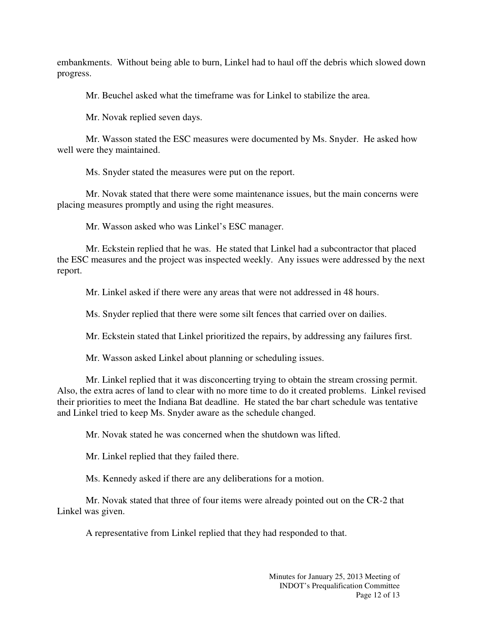embankments. Without being able to burn, Linkel had to haul off the debris which slowed down progress.

Mr. Beuchel asked what the timeframe was for Linkel to stabilize the area.

Mr. Novak replied seven days.

Mr. Wasson stated the ESC measures were documented by Ms. Snyder. He asked how well were they maintained.

Ms. Snyder stated the measures were put on the report.

Mr. Novak stated that there were some maintenance issues, but the main concerns were placing measures promptly and using the right measures.

Mr. Wasson asked who was Linkel's ESC manager.

Mr. Eckstein replied that he was. He stated that Linkel had a subcontractor that placed the ESC measures and the project was inspected weekly. Any issues were addressed by the next report.

Mr. Linkel asked if there were any areas that were not addressed in 48 hours.

Ms. Snyder replied that there were some silt fences that carried over on dailies.

Mr. Eckstein stated that Linkel prioritized the repairs, by addressing any failures first.

Mr. Wasson asked Linkel about planning or scheduling issues.

Mr. Linkel replied that it was disconcerting trying to obtain the stream crossing permit. Also, the extra acres of land to clear with no more time to do it created problems. Linkel revised their priorities to meet the Indiana Bat deadline. He stated the bar chart schedule was tentative and Linkel tried to keep Ms. Snyder aware as the schedule changed.

Mr. Novak stated he was concerned when the shutdown was lifted.

Mr. Linkel replied that they failed there.

Ms. Kennedy asked if there are any deliberations for a motion.

Mr. Novak stated that three of four items were already pointed out on the CR-2 that Linkel was given.

A representative from Linkel replied that they had responded to that.